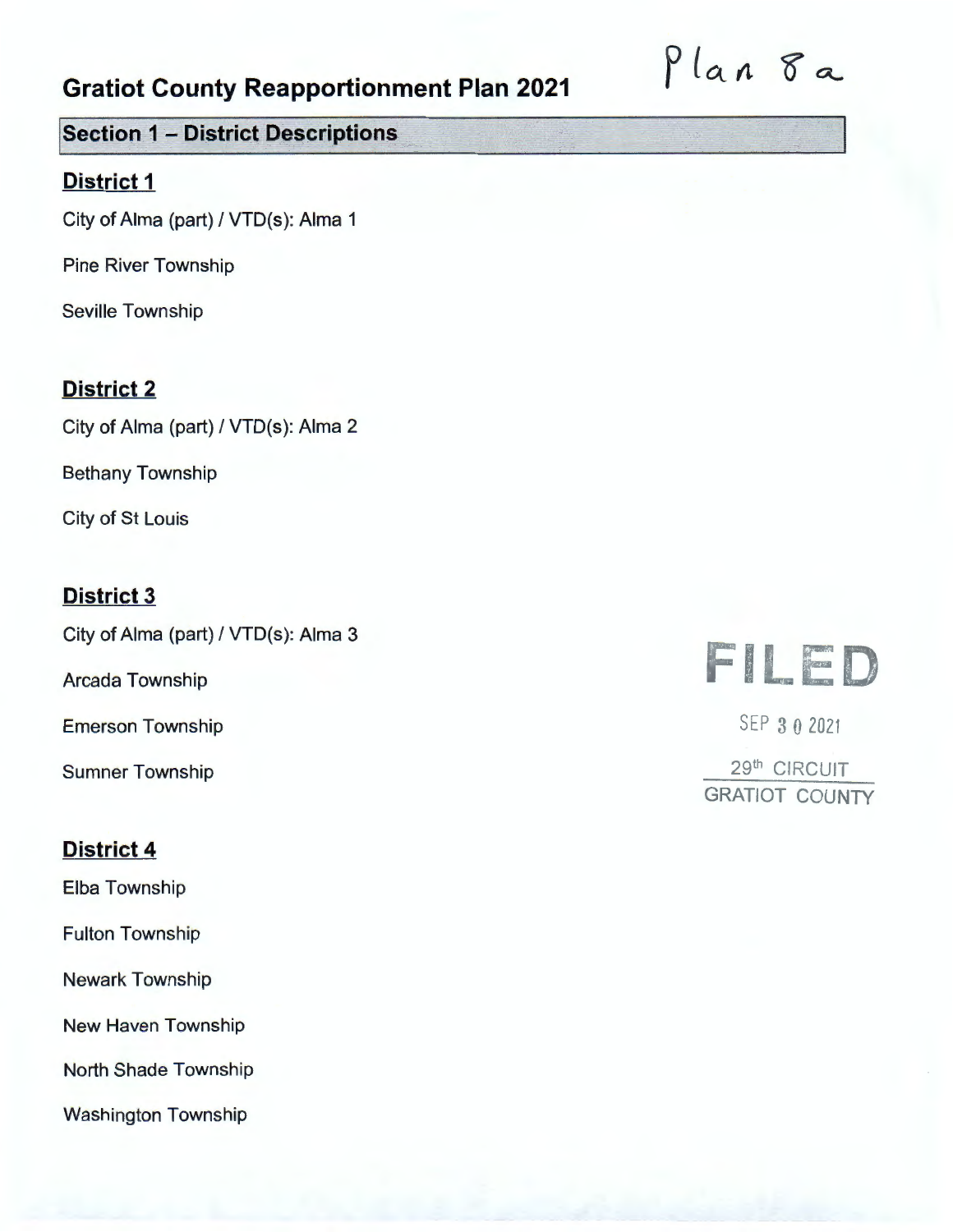# Plan 8a

#### **!Section 1 - District Descriptions**

#### **District 1**

City of Alma (part)/ VTD(s): Alma 1

Pine River Township

Seville Township

#### **District 2**

City of Alma (part)/ VTD(s): Alma 2

Bethany Township

City of St Louis

#### **District 3**

City of Alma (part)/ VTD(s): Alma 3

Arcada Township

Emerson Township

Sumner Township

#### **District 4**

Elba Township

Fulton Township

Newark Township

New Haven Township

North Shade Township

Washington Township

# FILED

SEP 3 O 2021

29th CIRCUIT GRATIOT COUNTY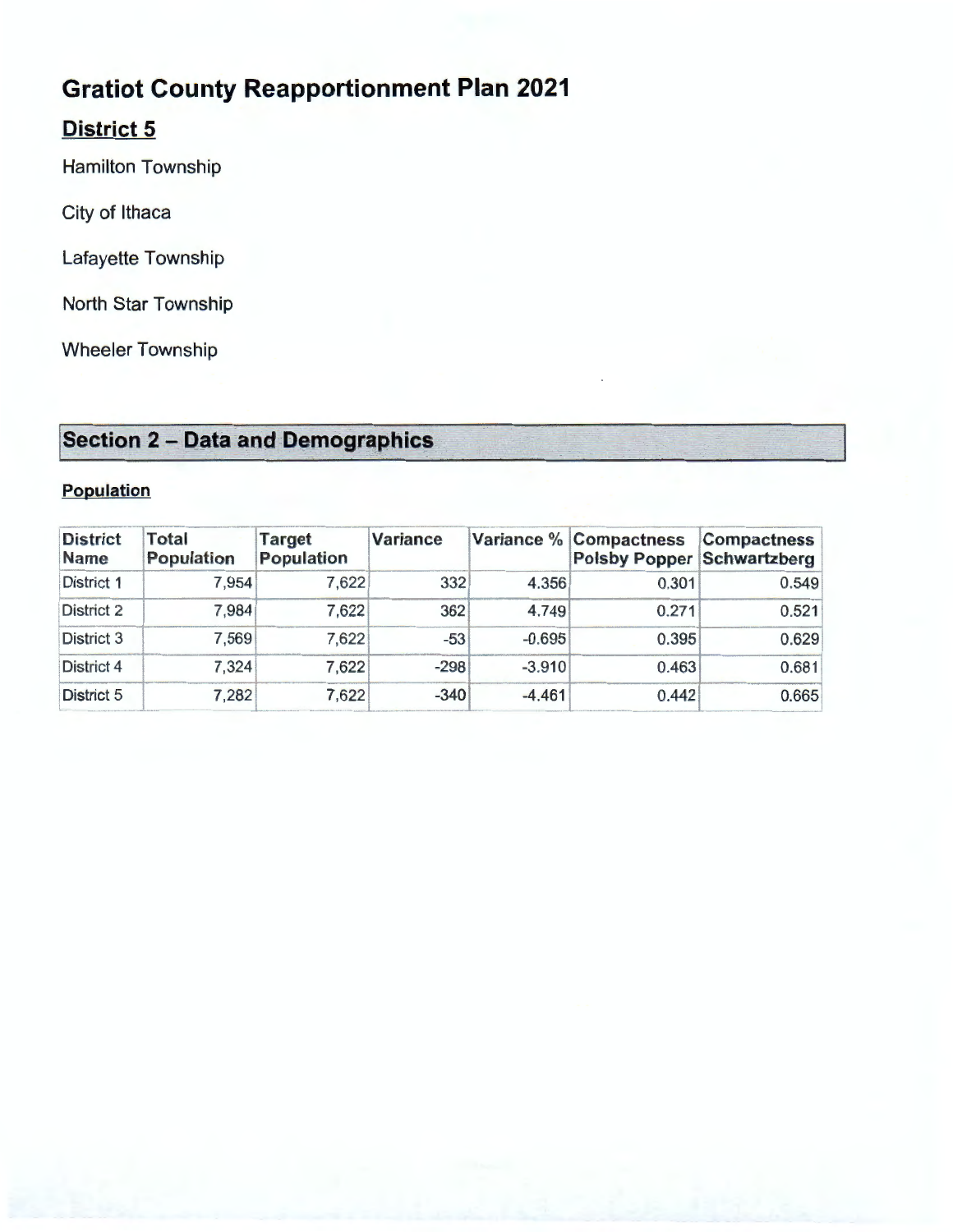### **District 5**

Hamilton Township

City of Ithaca

Lafayette Township

North Star Township

Wheeler Township

## **!Section 2 - Data and Demographics**

#### **Population**

| Population              |                     |                      |                 |          |                                                             |                    |
|-------------------------|---------------------|----------------------|-----------------|----------|-------------------------------------------------------------|--------------------|
| <b>District</b><br>Name | Total<br>Population | Target<br>Population | <b>Variance</b> |          | Variance % Compactness<br><b>Polsby Popper Schwartzberg</b> | <b>Compactness</b> |
| <b>District 1</b>       | 7,954               | 7,622                | 332             | 4.356    | 0.301                                                       | 0.549              |
| District 2              | 7,984               | 7,622                | 362             | 4.749    | 0.271                                                       | 0.521              |
| District 3              | 7,569               | 7,622                | -53             | $-0.695$ | 0.395                                                       | 0.629              |
| <b>District 4</b>       | 7,324               | 7,622                | $-298$          | $-3.910$ | 0.463                                                       | 0.681              |
| <b>District 5</b>       | 7,282               | 7,622                | $-340$          | $-4.461$ | 0.442                                                       | 0.665              |
|                         |                     |                      |                 |          |                                                             |                    |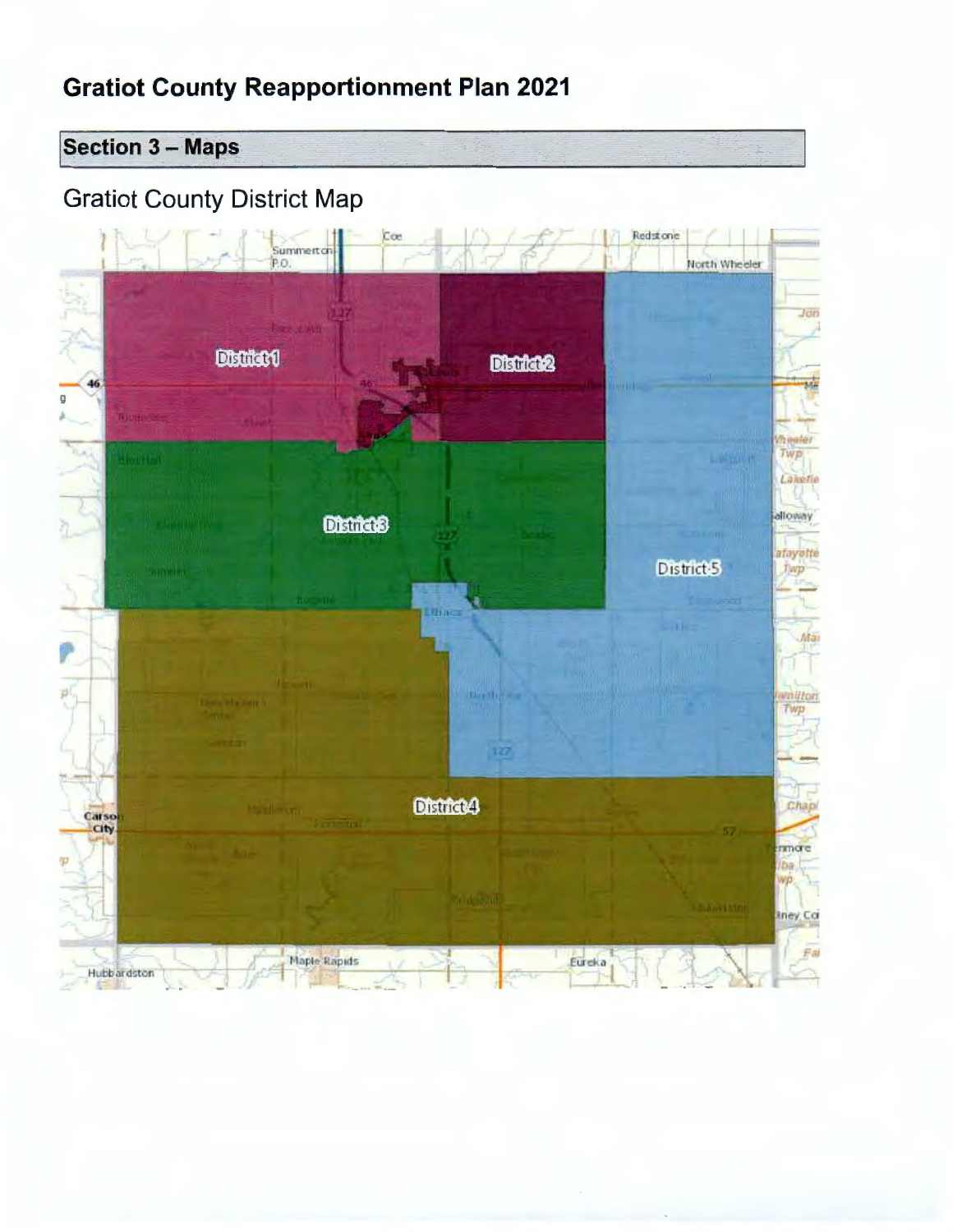**Section 3 - Maps** 

# **Gratiot County District Map**

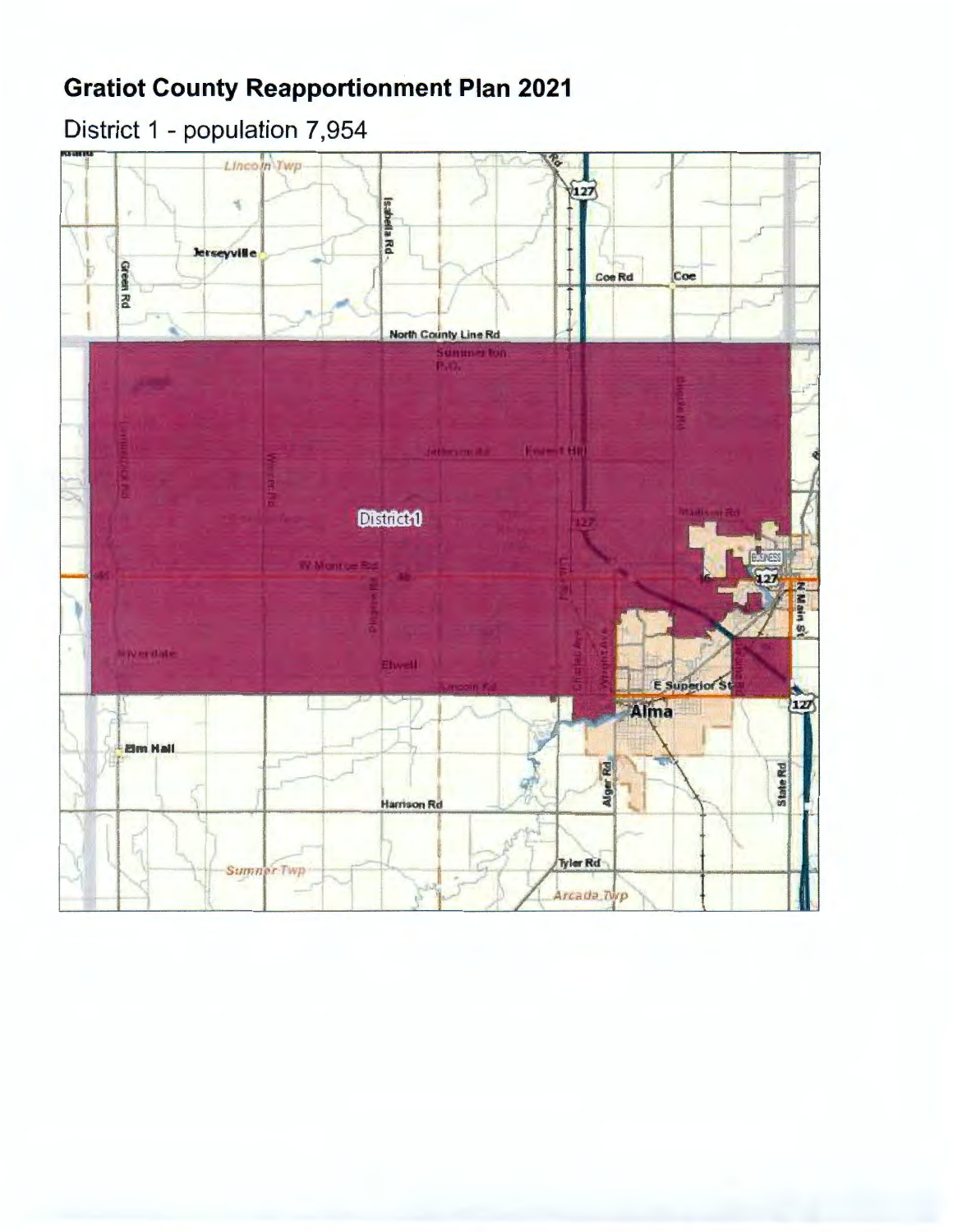# District 1 - population 7,954

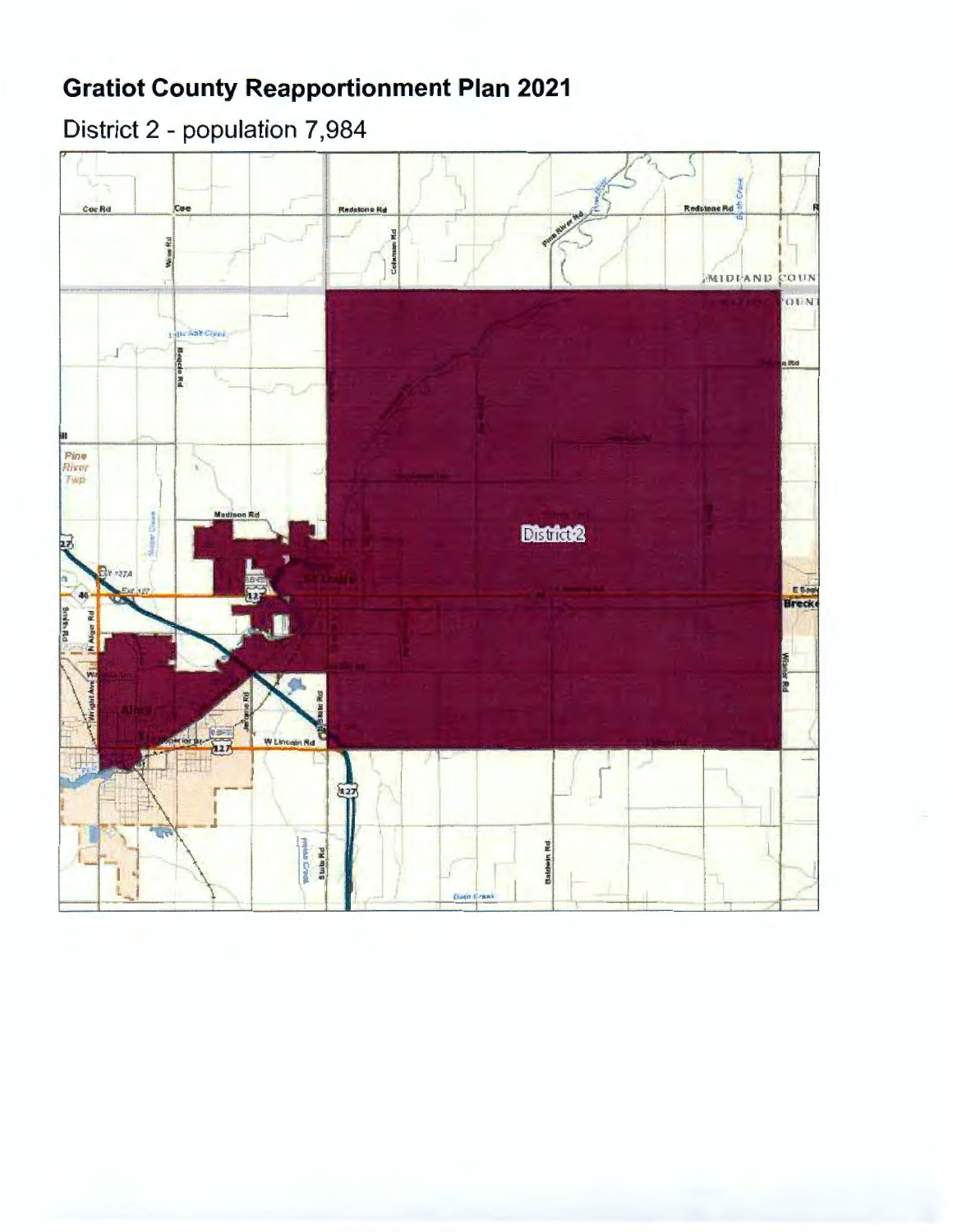# District 2 - population 7,984

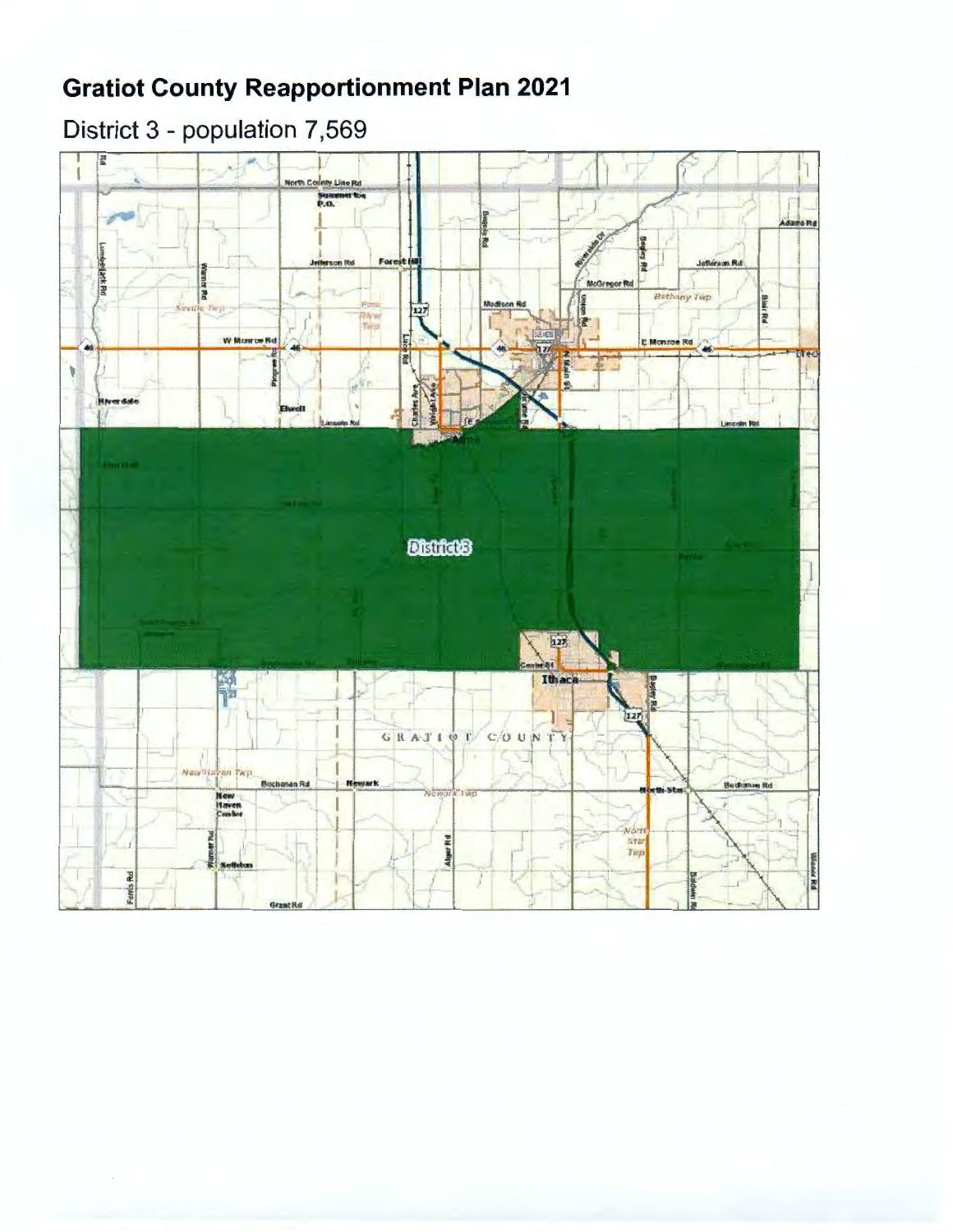# District 3 - population 7,569

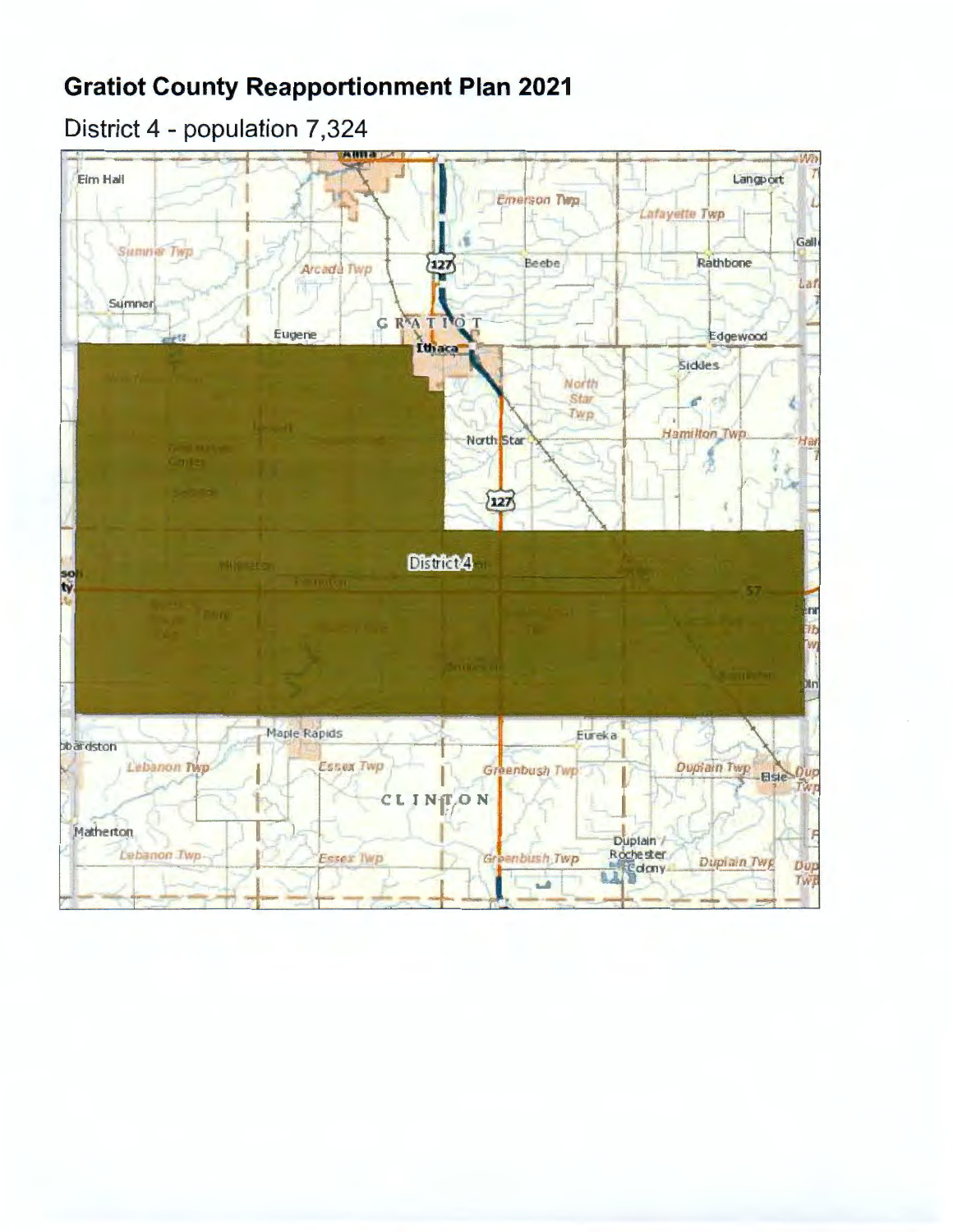## District 4 - population 7,324